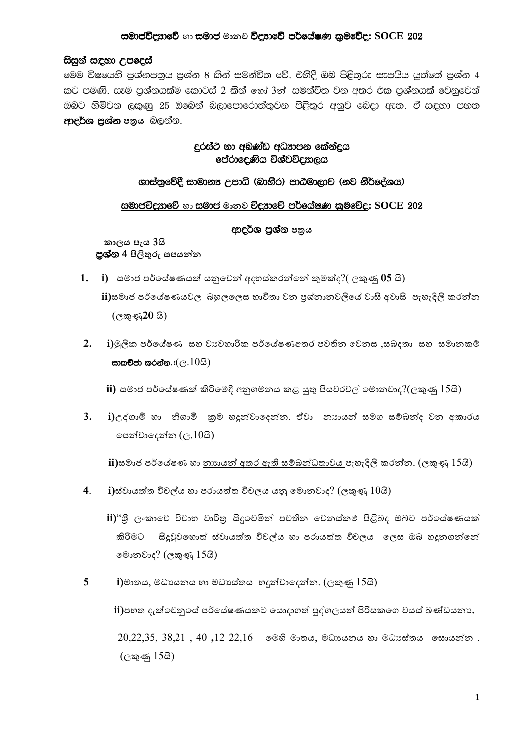## සමාජවිදහාවේ හා සමාජ මානව විදහාවේ පර්යේෂණ කුමවේද: SOCE 202

#### සිසුන් සඳහා උපදෙස්

මෙම විෂයෙහි පුශ්නපතුය පුශ්න 8 කින් සමන්විත වේ. එහිදී ඔබ පිළිතුරු සැපයිය යුත්තේ පුශ්න 4 කට පමණි. සෑම පුශ්නයක්ම කොටස් 2 කින් හෝ 3ත් සමන්විත වන අතර එක පුශ්නයක් වෙනුවෙන් ඔබට හිමිවන ලකුණු 25 ඔබෙන් බලාපොරොත්තුවන පිළිතුර අනුව බෙදා ඇත. ඒ සඳහා පහත ආදර්ශ පුශ්න පතුය බලන්න.

# දුරස්ථ හා අඩුණ්ඩ අධුපාපන කේන්දුය පේරාදෙණිය විශ්වවිදසාලය

#### ශාස්තුවේදී සාමානෳ උපාධි (බාහිර) පාඨමාලාව (නව නිර්දේශය)

### සමාජවිදහාවේ හා සමාජ මානව විදහාවේ පර්යේෂණ කුමවේද: SOCE 202

## ආදර්ශ පුශ්න පතුය

කාලය පැය 3යි පුශ්න 4 පිලිතුරු සපයන්න

1. i) සමාජ පර්යේෂණයක් යනුවෙන් අදහස්කරන්නේ කුමක්ද?( $\cos \phi$  05 යි)

ii)සමාජ පර්යේෂණයවල, බහුලලෙස භාවිතා වන පුශ්නානවලියේ වාසි අවාසි, පැහැදිලි කරන්න  $(\mathbb{C}\mathbb{Z}\mathbb{Z}20\ \mathbb{S})$ 

 $2.$ i)මූලික පර්ගේෂණ සහ වාාවහාරික පර්ගේෂණඅතර පවතින වෙනස ,සබදතා සහ සමානකම් සාකච්ජා කරන්න. $:(e.103)$ 

ii) සමාජ පර්යේෂණක් කිරිමේදී අනුගමනය කළ යුතු පියවරවල් මොනවාද $?$ (ලකුණු  $15$ යි)

 $3.$ i)උද්ගාමි හා නිගාමි කුම හදුන්වාදෙන්න. ඒවා නාහයන් සමග සම්බන්ද වන අකාරය පෙන්වාදෙන්න  $(c.103)$ 

ii)සමාජ පර්යේෂණ හා <u>නාහයන් අතර ඇති සම්බන්ධතාවය පැ</u>හැදිලි කරන්න. (ලකුණු 15යි)

 $4.$  $\mathbf i$ )ස්වායත්ත විචල්ය හා පරායත්ත විචලය යනු මොනවාද? (ලකුණු  $10$ යි)

ii)"ශී ලංකාවේ විවාහ චාරිතු සිදුවෙමින් පවතින වෙනස්කම් පිළිබද ඔබට පර්යේෂණයක් කිරිමට සිදුවුවහොත් ස්වායත්ත විචල්ය හා පරායත්ත විචලය ලෙස ඔබ හදුනගන්නේ මොනවාද? (ලකුණු 15යි)

 $5\overline{)}$  $\mathbf i$ )මාතය, මධායනය හා මධාසේතය හදුන්වාදෙන්න. (ලකුණු  $15$ යි)

ii)පහත දැක්වෙනුයේ පර්යේෂණයකට යොදාගත් පුද්ගලයන් පිරිසකගෙ වයස් ඛණ්ඩයනා.

 $20,22,35, 38,21, 40,12,22,16$  මෙහි මාතය, මධායනය හා මධාස්තය සොයන්න.  $($ ලකුණු 15යි)